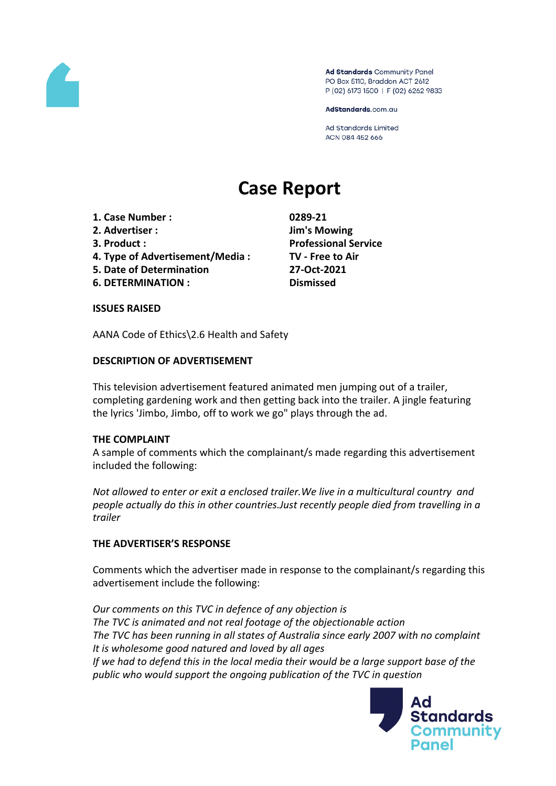

Ad Standards Community Panel PO Box 5110, Braddon ACT 2612 P (02) 6173 1500 | F (02) 6262 9833

AdStandards.com.au

Ad Standards Limited ACN 084 452 666

# **Case Report**

- **1. Case Number : 0289-21**
- **2. Advertiser : Jim's Mowing**
- 
- **4. Type of Advertisement/Media : TV - Free to Air**
- **5. Date of Determination 27-Oct-2021**
- **6. DETERMINATION : Dismissed**

**3. Product : Professional Service**

### **ISSUES RAISED**

AANA Code of Ethics\2.6 Health and Safety

## **DESCRIPTION OF ADVERTISEMENT**

This television advertisement featured animated men jumping out of a trailer, completing gardening work and then getting back into the trailer. A jingle featuring the lyrics 'Jimbo, Jimbo, off to work we go" plays through the ad.

### **THE COMPLAINT**

A sample of comments which the complainant/s made regarding this advertisement included the following:

*Not allowed to enter or exit a enclosed trailer.We live in a multicultural country and people actually do this in other countries.Just recently people died from travelling in a trailer*

# **THE ADVERTISER'S RESPONSE**

Comments which the advertiser made in response to the complainant/s regarding this advertisement include the following:

*Our comments on this TVC in defence of any objection is The TVC is animated and not real footage of the objectionable action The TVC has been running in all states of Australia since early 2007 with no complaint It is wholesome good natured and loved by all ages If we had to defend this in the local media their would be a large support base of the public who would support the ongoing publication of the TVC in question*

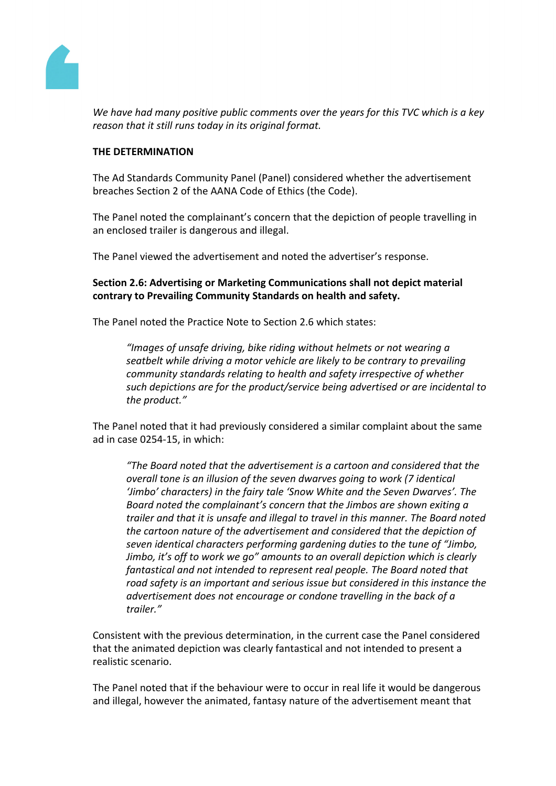

*We have had many positive public comments over the years for this TVC which is a key reason that it still runs today in its original format.*

### **THE DETERMINATION**

The Ad Standards Community Panel (Panel) considered whether the advertisement breaches Section 2 of the AANA Code of Ethics (the Code).

The Panel noted the complainant's concern that the depiction of people travelling in an enclosed trailer is dangerous and illegal.

The Panel viewed the advertisement and noted the advertiser's response.

**Section 2.6: Advertising or Marketing Communications shall not depict material contrary to Prevailing Community Standards on health and safety.**

The Panel noted the Practice Note to Section 2.6 which states:

*"Images of unsafe driving, bike riding without helmets or not wearing a seatbelt while driving a motor vehicle are likely to be contrary to prevailing community standards relating to health and safety irrespective of whether such depictions are for the product/service being advertised or are incidental to the product."*

The Panel noted that it had previously considered a similar complaint about the same ad in case 0254-15, in which:

*"The Board noted that the advertisement is a cartoon and considered that the overall tone is an illusion of the seven dwarves going to work (7 identical 'Jimbo' characters) in the fairy tale 'Snow White and the Seven Dwarves'. The Board noted the complainant's concern that the Jimbos are shown exiting a trailer and that it is unsafe and illegal to travel in this manner. The Board noted the cartoon nature of the advertisement and considered that the depiction of seven identical characters performing gardening duties to the tune of "Jimbo, Jimbo, it's off to work we go" amounts to an overall depiction which is clearly fantastical and not intended to represent real people. The Board noted that road safety is an important and serious issue but considered in this instance the advertisement does not encourage or condone travelling in the back of a trailer."*

Consistent with the previous determination, in the current case the Panel considered that the animated depiction was clearly fantastical and not intended to present a realistic scenario.

The Panel noted that if the behaviour were to occur in real life it would be dangerous and illegal, however the animated, fantasy nature of the advertisement meant that